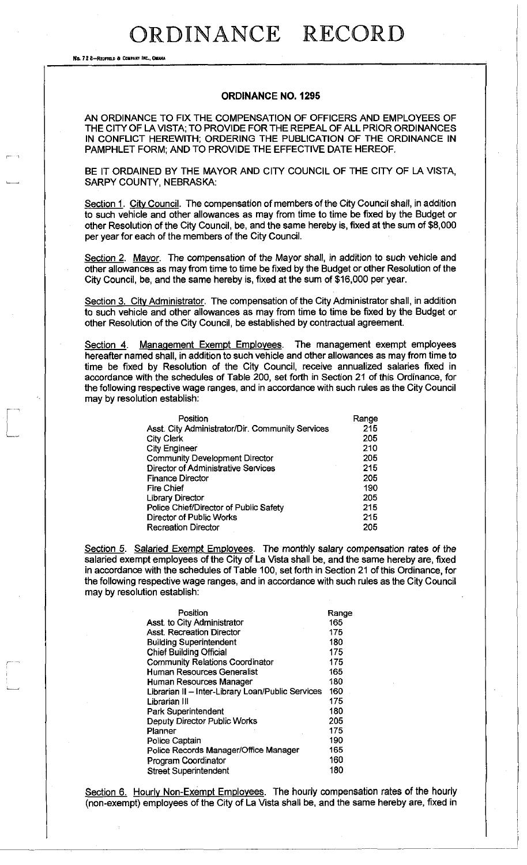No. 72 8—REDPIBD a COMPANY INC., OHAIU

#### **ORDINANCE NO. 1295**

AN ORDINANCE TO FIX THE COMPENSATION OF OFFICERS AND EMPLOYEES OF THE CITY OF LA VISTA; TO PROVIDE FOR THE REPEAL OF ALL PRIOR ORDINANCES IN CONFLICT HEREWITH; ORDERING THE PUBLICATION OF THE ORDINANCE IN PAMPHLET FORM; AND TO PROVIDE THE EFFECTIVE DATE HEREOF.

BE IT ORDAINED BY THE MAYOR AND CITY COUNCIL OF THE CITY OF LA VISTA. SARPY COUNTY, NEBRASKA:

Section 1. City Council. The compensation of members of the City Council shall, in addition to such vehicle and other allowances as may from time to time be fixed by the Budget or other Resolution of the City Council, be, and the same hereby is, fixed at the sum of \$8,000 per year for each of the members of the City Council.

Section 2. Mayor. The compensation of the Mayor shall, in addition to such vehicle and other allowances as may from time to time be fixed by the Budget or other Resolution of the City Council, be, and the same hereby is, fixed at the sum of \$16,000 per year.

Section 3. City Administrator. The compensation of the City Administrator shall, in addition to such vehicle and other allowances as may from time to time be fixed by the Budget or other Resolution of the City Council, be established by contractual agreement.

Section 4. Management Exempt Employees. The management exempt employees hereafter named shall, in addition to such vehicle and other allowances as may from time to time be fixed by Resolution of the City Council, receive annualized salaries fixed in accordance with the schedules of Table 200, set forth in Section 21 of this Ordinance, for the following respective wage ranges, and in accordance with such rules as the City Council may by resolution establish:

| Position                                         | Range |
|--------------------------------------------------|-------|
| Asst. City Administrator/Dir. Community Services | 215   |
| <b>City Clerk</b>                                | 205   |
| City Engineer                                    | 210   |
| <b>Community Development Director</b>            | 205   |
| <b>Director of Administrative Services</b>       | 215   |
| <b>Finance Director</b>                          | 205   |
| Fire Chief                                       | 190   |
| Library Director                                 | 205   |
| Police Chief/Director of Public Safety           | 215   |
| Director of Public Works                         | 215   |
| <b>Recreation Director</b>                       | 205   |

Section 5. Salaried Exempt Employees. The monthly salary compensation rates of the salaried exempt employees of the City of La Vista shall be, and the same hereby are, fixed in accordance with the schedules of Table 100, set forth in Section 21 of this Ordinance, for the following respective wage ranges, and in accordance with such rules as the City Council may by resolution establish:

| Position                                          | Range |
|---------------------------------------------------|-------|
| Asst. to City Administrator                       | 165   |
| <b>Asst. Recreation Director</b>                  | 175   |
| <b>Building Superintendent</b>                    | 180   |
| <b>Chief Building Official</b>                    | 175   |
| Community Relations Coordinator                   | 175   |
| <b>Human Resources Generalist</b>                 | 165   |
| Human Resources Manager                           | 180   |
| Librarian II - Inter-Library Loan/Public Services | 160   |
| Librarian III                                     | 175   |
| Park Superintendent                               | 180   |
| Deputy Director Public Works                      | 205   |
| Planner                                           | 175   |
| Police Captain                                    | 190   |
| Police Records Manager/Office Manager             | 165   |
| Program Coordinator                               | 160   |
| <b>Street Superintendent</b>                      | 180   |

Section 6. Hourly Non-Exempt Employees. The hourly compensation rates of the hourly (non-exempt) employees of the City of La Vista shall be, and the same hereby are, fixed in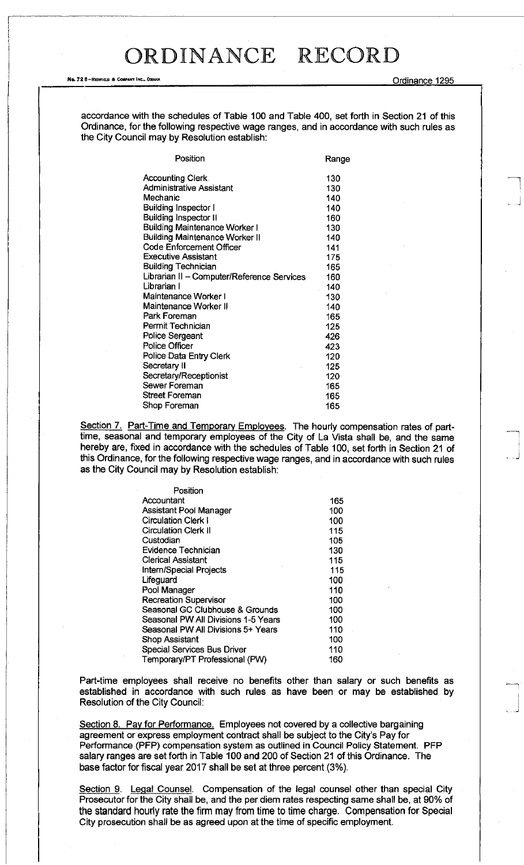#### No. 72 8-REDFIELD & COMPANY INC., OMAHA COMPANY A COMPANY A COMPANY OF COMPANY A COMPANY OF COMPANY OF COMPANY ORDINANCE 1295

accordance with the schedules of Table 100 and Table 400, set forth in Section 21 of this Ordinance, for the following respective wage ranges, and in accordance with such rules as the City Council may by Resolution establish:

| Position                                   | Range |
|--------------------------------------------|-------|
| <b>Accounting Cierk</b>                    | 130   |
| <b>Administrative Assistant</b>            | 130   |
| Mechanic                                   | 140   |
| <b>Building Inspector I</b>                | 140   |
| <b>Building Inspector II</b>               | 160   |
| <b>Building Maintenance Worker I</b>       | 130   |
| <b>Building Maintenance Worker II</b>      | 140   |
| <b>Code Enforcement Officer</b>            | 141   |
| <b>Executive Assistant</b>                 | 175   |
| <b>Building Technician</b>                 | 165   |
| Librarian II - Computer/Reference Services | 160   |
| Librarian I                                | 140   |
| Maintenance Worker I                       | 130   |
| Maintenance Worker II                      | 140   |
| Park Foreman                               | 165   |
| Permit Technician                          | 125   |
| <b>Police Sergeant</b>                     | 426   |
| Police Officer                             | 423   |
| Police Data Entry Clerk                    | 120   |
| Secretary II                               | 125   |
| Secretary/Receptionist                     | 120   |
| Sewer Foreman                              | 165   |
| Street Foreman                             | 165   |
| Shop Foreman                               | 165   |

Section 7. Part-Time and Temporary Employees. The hourly compensation rates of parttime, seasonal and temporary employees of the City of La Vista shall be, and the same hereby are, fixed in accordance with the schedules of Table 100, set forth in Section 21 of this Ordinance, for the following respective wage ranges, and in accordance with such rules as the City Council may by Resolution establish:

| Position                            |     |
|-------------------------------------|-----|
| Accountant                          | 165 |
| Assistant Pool Manager              | 100 |
| <b>Circulation Clerk I</b>          | 100 |
| Circulation Clerk II                | 115 |
| Custodian                           | 105 |
| Evidence Technician                 | 130 |
| Clerical Assistant                  | 115 |
| <b>Intern/Special Projects</b>      | 115 |
| Lifeguard                           | 100 |
| Pool Manager                        | 110 |
| <b>Recreation Supervisor</b>        | 100 |
| Seasonal GC Clubhouse & Grounds     | 100 |
| Seasonal PW All Divisions 1-5 Years | 100 |
| Seasonal PW All Divisions 5+ Years  | 110 |
| Shop Assistant                      | 100 |
| <b>Special Services Bus Driver</b>  | 110 |
| Temporary/PT Professional (PW)      | 160 |

Part-time employees shall receive no benefits other than salary or such benefits as established in accordance with such rules as have been or may be established by Resolution of the City Council:

Section 8. Pay for Performance. Employees not covered by a collective bargaining agreement or express employment contract shall be subject to the City's Pay for Performance (PFP) compensation system as outlined in Council Policy Statement. PFP salary ranges are set forth in Table 100 and 200 of Section 21 of this Ordinance. The base factor for fiscal year 2017 shall be set at three percent (3%).

Section 9. Legal Counsel. Compensation of the legal counsel other than special City Prosecutor for the City shall be, and the per diem rates respecting same shall be, at 90% of the standard hourly rate the firm may from time to time charge. Compensation for Special City prosecution shall be as agreed upon at the time of specific employment.

..J

...J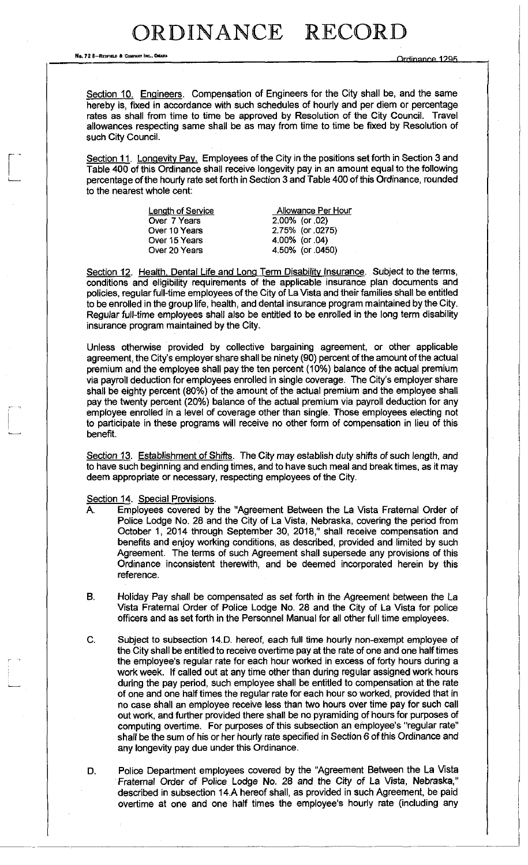No. 72 8—REDFIELD & COMPANY THC., OMAHA

Section 10. Engineers. Compensation of Engineers for the City shall be, and the same hereby is, fixed in accordance with such schedules of hourly and per diem or percentage rates as shall from time to time be approved by Resolution of the City Council. Travel allowances respecting same shall be as may from time to time be fixed by Resolution of such City Council.

Section 11. Longevity Pay. Employees of the City in the positions set forth in Section 3 and Table 400 of this Ordinance shall receive longevity pay in an amount equal to the following percentage of the hourly rate set forth in Section 3 and Table 400 of this Ordinance, rounded to the nearest whole cent:

| Allowance Per Hour |
|--------------------|
| $2.00\%$ (or .02)  |
| 2.75% (or .0275)   |
| 4.00% (or .04)     |
| 4.50% (or .0450)   |
|                    |

Section 12. Health, Dental Life and Long Term Disability Insurance. Subject to the terms, conditions and eligibility requirements of the applicable insurance plan documents and policies, regular full-time employees of the City of La Vista and their families shall be entitled to be enrolled in the group life, health, and dental insurance program maintained by the City. Regular full-time employees shall also be entitled to be enrolled in the long term disability insurance program maintained by the City.

Unless otherwise provided by collective bargaining agreement, or other applicable agreement, the City's employer share shall be ninety (90) percent of the amount of the actual premium and the employee shall pay the ten percent (10%) balance of the actual premium via payroll deduction for employees enrolled in single coverage. The City's employer share shall be eighty percent (80%) of the amount of the actual premium and the employee shall pay the twenty percent (20%) balance of the actual premium via payroll deduction for any employee enrolled in a level of coverage other than single. Those employees electing not to participate in these programs will receive no other form of compensation in lieu of this benefit.

Section 13. Establishment of Shifts. The City may establish duty shifts of such length, and to have such beginning and ending times, and to have such meal and break times, as it may deem appropriate or necessary, respecting employees of the City.

Section 14. Special Provisions.

- A. Employees covered by the "Agreement Between the La Vista Fraternal Order of Police Lodge No. 28 and the City of La Vista, Nebraska, covering the period from October 1, 2014 through September 30, 2018," shall receive compensation and benefits and enjoy working conditions, as described, provided and limited by such Agreement. The terms of such Agreement shall supersede any provisions of this Ordinance inconsistent therewith, and be deemed incorporated herein by this reference.
- B. Holiday Pay shall be compensated as set forth in the Agreement between the La Vista Fraternal Order of Police Lodge No. 28 and the City of La Vista for police officers and as set forth in the Personnel Manual for all other full time employees.
- C. Subject to subsection 14.D. hereof, each full time hourly non-exempt employee of the City shall be entitled to receive overtime pay at the rate of one and one half times the employee's regular rate for each hour worked in excess of forty hours during a work week. If called out at any time other than during regular assigned work hours during the pay period, such employee shall be entitled to compensation at the rate of one and one half times the regular rate for each hour so worked, provided that in no case shall an employee receive less than two hours over time pay for such call out work, and further provided there shall be no pyramiding of hours for purposes of computing overtime. For purposes of this subsection an employee's "regular rate" shall be the sum of his or her hourly rate specified in Section 6 of this Ordinance and any longevity pay due under this Ordinance.

D. Police Department employees covered by the "Agreement Between the La Vista Fraternal Order of Police Lodge No. 28 and the City of La Vista, Nebraska," described in subsection 14.A hereof shall, as provided in such Agreement, be paid overtime at one and one half times the employee's hourly rate (including any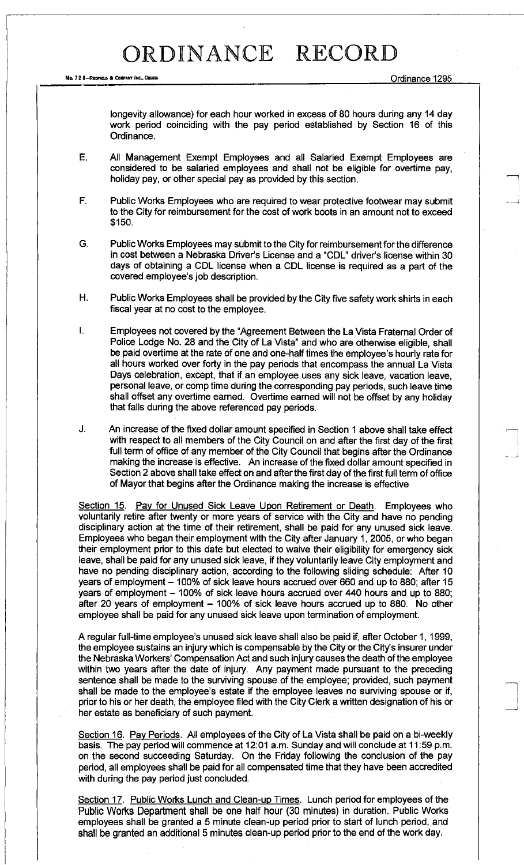Ne. 7 2 6-REBFIELB a COMPANY INC., OMAHA Ordinance 1295

longevity allowance) for each hour worked in excess of 80 hours during any 14 day work period coinciding with the pay period established by Section 16 of this Ordinance.

- E. All Management Exempt Employees and all Salaried Exempt Employees are considered to be salaried employees and shall not be eligible for overtime pay, holiday pay, or other special pay as provided by this section.
- F. Public Works Employees who are required to wear protective footwear may submit to the City for reimbursement for the cost of work boots in an amount not to exceed \$150.
- G. Public Works Employees may submit to the City for reimbursement for the difference in cost between a Nebraska Driver's License and a "CDL" driver's license within 30 days of obtaining a CDL license when a CDL license is required as a part of the covered employee's job description.
- H. Public Works Employees shall be provided by the City five safety work shirts in each fiscal year at no cost to the employee.
- I. Employees not covered by the "Agreement Between the La Vista Fraternal Order of Police Lodge No. 28 and the City of La Vista" and who are otherwise eligible, shall be paid overtime at the rate of one and one-half times the employee's hourly rate for all hours worked over forty in the pay periods that encompass the annual La Vista Days celebration, except, that if an employee uses any sick leave, vacation leave, personal leave, or comp time during the corresponding pay periods, such leave time shall offset any overtime earned. Overtime earned will not be offset by any holiday that falls during the above referenced pay periods.
- J. An increase of the fixed dollar amount specified in Section 1 above shall take effect with respect to all members of the City Council on and after the first day of the first full term of office of any member of the City Council that begins after the Ordinance making the increase is effective. An increase of the fixed dollar amount specified in Section 2 above shall take effect on and after the first day of the first full term of office of Mayor that begins after the Ordinance making the increase is effective

Section 15. Pay for Unused Sick Leave Upon Retirement or Death. Employees who voluntarily retire after twenty or more years of service with the City and have no pending disciplinary action at the time of their retirement, shall be paid for any unused sick leave. Employees who began their employment with the City after January 1, 2005, or who began their employment prior to this date but elected to waive their eligibility for emergency sick leave, shall be paid for any unused sick leave, if they voluntarily leave City employment and have no pending disciplinary action, according to the following sliding schedule: After 10 years of employment - 100% of sick leave hours accrued over 660 and up to 880; after 15 years of employment - 100% of sick leave hours accrued over 440 hours and up to 880; after 20 years of employment  $-$  100% of sick leave hours accrued up to 880. No other employee shall be paid for any unused sick leave upon termination of employment.

A regular full-time employee's unused sick leave shall also be paid if, after October 1,1999, the employee sustains an injury which is compensable by the City or the City's insurer under the Nebraska Workers' Compensation Act and such injury causes the death of the employee within two years after the date of injury. Any payment made pursuant to the preceding sentence shall be made to the surviving spouse of the employee; provided, such payment shall be made to the employee's estate if the employee leaves no surviving spouse or if, prior to his or her death, the employee filed with the City Clerk a written designation of his or her estate as beneficiary of such payment.

Section 16. Pay Periods. All employees of the City of La Vista shall be paid on a bi-weekly basis. The pay period will commence at 12:01 a.m. Sunday and will conclude at 11:59 p.m. on the second succeeding Saturday. On the Friday following the conclusion of the pay period, all employees shall be paid for all compensated time that they have been accredited with during the pay period just concluded.

Section 17. Public Works Lunch and Clean-up Times. Lunch period for employees of the Public Works Department shall be one half hour (30 minutes) in duration. Public Works employees shall be granted a 5 minute clean-up period prior to start of lunch period, and shall be granted an additional 5 minutes clean-up period prior to the end of the work day.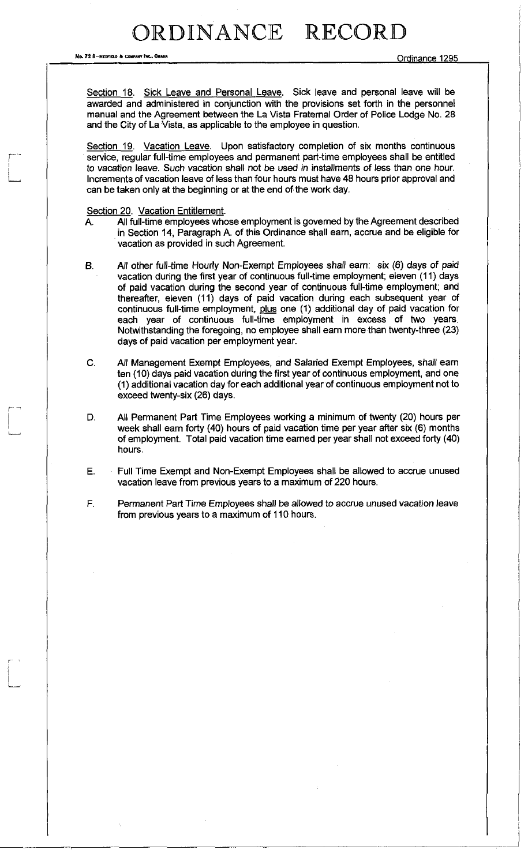*HO.* 72 S—REPFIAN A CQMFAHT INC.. *OUT\* \** Ordinance 1295

Section 18. Sick Leave and Personal Leave. Sick leave and personal leave will be awarded and administered in conjunction with the provisions set forth in the personnel manual and the Agreement between the La Vista Fraternal Order of Police Lodge No. 28 and the City of La Vista, as applicable to the employee in question.

Section 19. Vacation Leave. Upon satisfactory completion of six months continuous service, regular full-time employees and permanent part-time employees shall be entitled to vacation leave. Such vacation shall not be used in installments of less than one hour. Increments of vacation leave of less than four hours must have 48 hours prior approval and can be taken only at the beginning or at the end of the work day.

#### Section 20. Vacation Entitlement.

- A. All full-time employees whose employment is governed by the Agreement described in Section 14, Paragraph A. of this Ordinance shall earn, accrue and be eligible for vacation as provided in such Agreement.
- B. All other full-time Hourly Non-Exempt Employees shall earn: six (6) days of paid vacation during the first year of continuous full-time employment; eleven (11) days of paid vacation during the second year of continuous full-time employment; and thereafter, eleven (11) days of paid vacation during each subsequent year of continuous full-time employment, plus one (1) additional day of paid vacation for each year of continuous full-time employment in excess of two years. Notwithstanding the foregoing, no employee shall earn more than twenty-three (23) days of paid vacation per employment year.
- C. All Management Exempt Employees, and Salaried Exempt Employees, shall earn ten (10) days paid vacation during the first year of continuous employment, and one (1) additional vacation day for each additional year of continuous employment not to exceed twenty-six (26) days.
- D. All Permanent Part Time Employees working a minimum of twenty (20) hours per week shall earn forty (40) hours of paid vacation time per year after six (6) months of employment. Total paid vacation time earned per year shall not exceed forty (40) hours.
- E. Full Time Exempt and Non-Exempt Employees shall be allowed to accrue unused vacation leave from previous years to a maximum of 220 hours.
- F. Permanent Part Time Employees shall be allowed to accrue unused vacation leave from previous years to a maximum of 110 hours.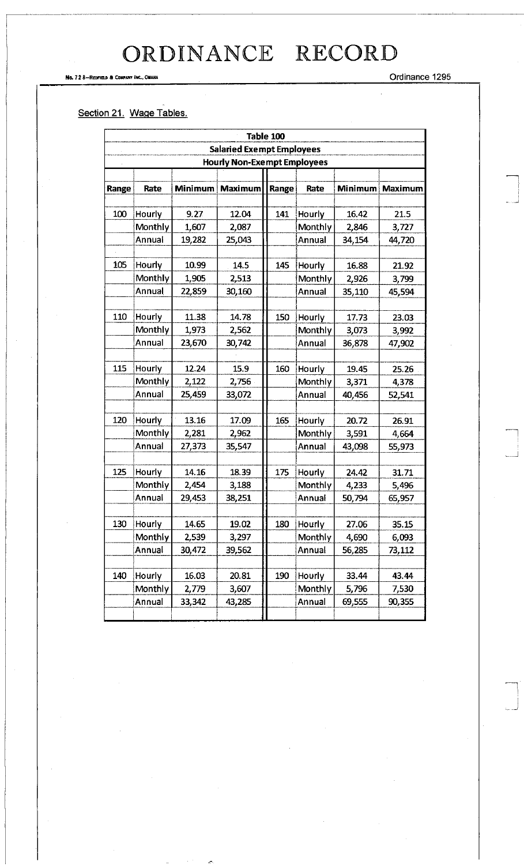#### No. 72 8—REDPIELD & COMPANY INC., OMAHA ORDINANCE 1295

### Section 21. Wage Tables.

|                                    | Table 100 |        |                 |       |         |        |                 |
|------------------------------------|-----------|--------|-----------------|-------|---------|--------|-----------------|
| <b>Salaried Exempt Employees</b>   |           |        |                 |       |         |        |                 |
| <b>Hourly Non-Exempt Employees</b> |           |        |                 |       |         |        |                 |
|                                    |           |        |                 |       |         |        |                 |
| Range                              | Rate      |        | Minimum Maximum | Range | Rate    |        | Minimum Maximum |
|                                    |           |        |                 |       |         |        |                 |
| 100                                | Hourly    | 9.27   | 12.04           | 141   | Hourly  | 16.42  | 21.5            |
|                                    | Monthly   | 1,607  | 2,087           |       | Monthly | 2,846  | 3,727           |
|                                    | Annual    | 19,282 | 25,043          |       | Annual  | 34,154 | 44,720          |
| 105                                | Hourly    | 10.99  | 14.5            | 145   | Hourly  | 16.88  | 21.92           |
|                                    | Monthly   | 1,905  | 2,513           |       | Monthly | 2,926  | 3,799           |
|                                    | Annual    | 22,859 | 30,160          |       | Annual  | 35,110 | 45,594          |
|                                    |           |        |                 |       |         |        |                 |
| 110                                | Hourly    | 11.38  | 14.78           | 150   | Hourly  | 17.73  | 23.03           |
|                                    | Monthly   | 1,973  | 2,562           |       | Monthly | 3,073  | 3,992           |
|                                    | Annual    | 23,670 | 30,742          |       | Annual  | 36,878 | 47,902          |
|                                    |           |        |                 |       |         |        |                 |
| 115                                | Hourly    | 12.24  | 15.9            | 160   | Hourly  | 19.45  | 25.26           |
|                                    | Monthly   | 2,122  | 2,756           |       | Monthly | 3,371  | 4,378           |
|                                    | Annual    | 25,459 | 33,072          |       | Annual  | 40,456 | 52,541          |
|                                    |           |        |                 |       |         |        |                 |
| 120                                | Hourly    | 13.16  | 17.09           | 165   | Hourly  | 20.72  | 26.91           |
|                                    | Monthly   | 2,281  | 2,962           |       | Monthly | 3,591  | 4,664           |
|                                    | Annual    | 27,373 | 35,547          |       | Annual  | 43,098 | 55,973          |
|                                    |           |        |                 |       |         |        |                 |
| 125                                | Hourly    | 14.16  | 18.39           | 175   | Hourly  | 24.42  | 31.71           |
|                                    | Monthly   | 2,454  | 3,188           |       | Monthly | 4,233  | 5,496           |
|                                    | Annual    | 29,453 | 38,251          |       | Annual  | 50,794 | 65,957          |
|                                    |           |        |                 |       |         |        |                 |
| 130                                | Hourly    | 14.65  | 19.02           | 180   | Hourly  | 27.06  | 35.15           |
|                                    | Monthly   | 2,539  | 3,297           |       | Monthly | 4,690  | 6,093           |
|                                    | Annual    | 30,472 | 39,562          |       | Annual  | 56,285 | 73,112          |
|                                    |           |        |                 |       |         |        |                 |
| 140                                | Hourly    | 16.03  | 20.81           | 190   | Hourly  | 33.44  | 43.44           |
|                                    | Monthly   | 2,779  | 3,607           |       | Monthly | 5,796  | 7,530           |
|                                    | Annual    | 33,342 | 43,285          |       | Annual  | 69,555 | 90,355          |
|                                    |           |        |                 |       |         |        |                 |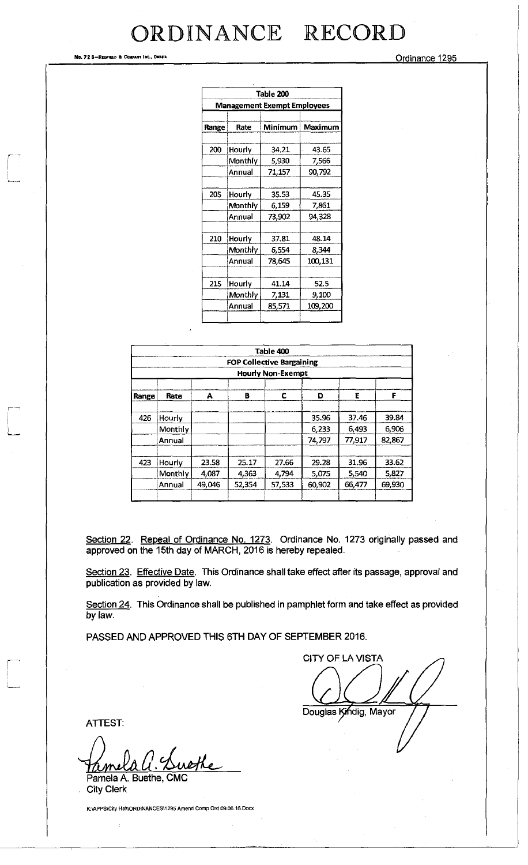No. 72 8-Redfield & Company Inc., Omaria  $O(1295)$ 

|                                    | Table 200 |         |         |  |  |  |
|------------------------------------|-----------|---------|---------|--|--|--|
| <b>Management Exempt Employees</b> |           |         |         |  |  |  |
|                                    |           |         |         |  |  |  |
| Range                              | Rate      | Minimum | Maximum |  |  |  |
| 200                                | Hourly    | 34.21   | 43.65   |  |  |  |
|                                    | Monthly   | 5,930   | 7,566   |  |  |  |
|                                    | Annual    | 71,157  | 90,792  |  |  |  |
|                                    |           |         |         |  |  |  |
| 205                                | Hourly    | 35.53   | 45.35   |  |  |  |
|                                    | Monthly   | 6,159   | 7,861   |  |  |  |
|                                    | Annual    | 73,902  | 94,328  |  |  |  |
|                                    |           |         |         |  |  |  |
| 210                                | Hourly    | 37.81   | 48.14   |  |  |  |
|                                    | Monthly   | 6,554   | 8,344   |  |  |  |
|                                    | Annual    | 78,645  | 100,131 |  |  |  |
|                                    |           |         |         |  |  |  |
| 215                                | Hourly    | 41.14   | 52.5    |  |  |  |
|                                    | Monthly   | 7,131   | 9,100   |  |  |  |
|                                    | Annual    | 85,571  | 109,200 |  |  |  |
|                                    |           |         |         |  |  |  |

|                          |                                  |        |        | Table 400 |        |        |        |
|--------------------------|----------------------------------|--------|--------|-----------|--------|--------|--------|
|                          | <b>FOP Collective Bargaining</b> |        |        |           |        |        |        |
| <b>Hourly Non-Exempt</b> |                                  |        |        |           |        |        |        |
| Range                    | Rate                             | A      | в      | С         | D      | E      | F      |
| 426                      | <b>Hourly</b>                    |        |        |           | 35.96  | 37.46  | 39.84  |
|                          | Monthly                          |        |        |           | 6,233  | 6,493  | 6,906  |
|                          | Annual                           |        |        |           | 74,797 | 77,917 | 82,867 |
| 423                      | Hourly                           | 23.58  | 25.17  | 27.66     | 29.28  | 31.96  | 33.62  |
|                          | Monthly                          | 4,087  | 4,363  | 4,794     | 5,075  | 5,540  | 5,827  |
|                          | Annual                           | 49,046 | 52,354 | 57.533    | 60,902 | 66.477 | 69,930 |

Section 22. Repeal of Ordinance No. 1273. Ordinance No. 1273 originally passed and approved on the 15th day of MARCH, 2016 is hereby repealed.

Section 23. Effective Date. This Ordinance shall take effect after its passage, approval and publication as provided by law.

Section 24. This Ordinance shall be published in pamphlet form and take effect as provided by law.

PASSED AND APPROVED THIS 6TH DAY OF SEPTEMBER 2016.

CITY OF LA VISTA Douglas Kindig, Mayor

ATTEST:

M

Pamela A. Buethe, CMC City Clerk

K:\APPS\City Hall\ORDINANCES\1295 Amend Comp Ord 09.06.16. Docx